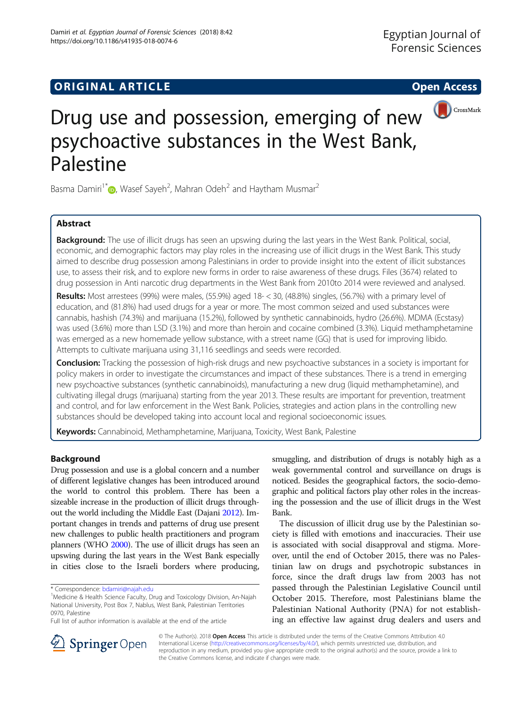## **ORIGINAL ARTICLE CONSERVANCE IN A LOCAL CONSERVANCE IN A LOCAL CONSERVANCE IN A LOCAL CONSERVANCE IN A LOCAL CONS**



# Drug use and possession, emerging of new psychoactive substances in the West Bank, Palestine

Basma Damiri<sup>1\*</sup>  $\bullet$ [,](http://orcid.org/0000-0001-8242-391X) Wasef Sayeh<sup>2</sup>, Mahran Odeh<sup>2</sup> and Haytham Musmar<sup>2</sup>

## Abstract

Background: The use of illicit drugs has seen an upswing during the last years in the West Bank. Political, social, economic, and demographic factors may play roles in the increasing use of illicit drugs in the West Bank. This study aimed to describe drug possession among Palestinians in order to provide insight into the extent of illicit substances use, to assess their risk, and to explore new forms in order to raise awareness of these drugs. Files (3674) related to drug possession in Anti narcotic drug departments in the West Bank from 2010to 2014 were reviewed and analysed.

Results: Most arrestees (99%) were males, (55.9%) aged 18- < 30, (48.8%) singles, (56.7%) with a primary level of education, and (81.8%) had used drugs for a year or more. The most common seized and used substances were cannabis, hashish (74.3%) and marijuana (15.2%), followed by synthetic cannabinoids, hydro (26.6%). MDMA (Ecstasy) was used (3.6%) more than LSD (3.1%) and more than heroin and cocaine combined (3.3%). Liquid methamphetamine was emerged as a new homemade yellow substance, with a street name (GG) that is used for improving libido. Attempts to cultivate marijuana using 31,116 seedlings and seeds were recorded.

**Conclusion:** Tracking the possession of high-risk drugs and new psychoactive substances in a society is important for policy makers in order to investigate the circumstances and impact of these substances. There is a trend in emerging new psychoactive substances (synthetic cannabinoids), manufacturing a new drug (liquid methamphetamine), and cultivating illegal drugs (marijuana) starting from the year 2013. These results are important for prevention, treatment and control, and for law enforcement in the West Bank. Policies, strategies and action plans in the controlling new substances should be developed taking into account local and regional socioeconomic issues.

Keywords: Cannabinoid, Methamphetamine, Marijuana, Toxicity, West Bank, Palestine

## Background

Drug possession and use is a global concern and a number of different legislative changes has been introduced around the world to control this problem. There has been a sizeable increase in the production of illicit drugs throughout the world including the Middle East (Dajani [2012](#page-6-0)). Important changes in trends and patterns of drug use present new challenges to public health practitioners and program planners (WHO [2000](#page-7-0)). The use of illicit drugs has seen an upswing during the last years in the West Bank especially in cities close to the Israeli borders where producing,

smuggling, and distribution of drugs is notably high as a weak governmental control and surveillance on drugs is noticed. Besides the geographical factors, the socio-demographic and political factors play other roles in the increasing the possession and the use of illicit drugs in the West Bank.

The discussion of illicit drug use by the Palestinian society is filled with emotions and inaccuracies. Their use is associated with social disapproval and stigma. Moreover, until the end of October 2015, there was no Palestinian law on drugs and psychotropic substances in force, since the draft drugs law from 2003 has not passed through the Palestinian Legislative Council until October 2015. Therefore, most Palestinians blame the Palestinian National Authority (PNA) for not establishing an effective law against drug dealers and users and



© The Author(s). 2018 Open Access This article is distributed under the terms of the Creative Commons Attribution 4.0 International License ([http://creativecommons.org/licenses/by/4.0/\)](http://creativecommons.org/licenses/by/4.0/), which permits unrestricted use, distribution, and reproduction in any medium, provided you give appropriate credit to the original author(s) and the source, provide a link to the Creative Commons license, and indicate if changes were made.

<sup>\*</sup> Correspondence: [bdamiri@najah.edu](mailto:bdamiri@najah.edu) <sup>1</sup>

<sup>&</sup>lt;sup>1</sup>Medicine & Health Science Faculty, Drug and Toxicology Division, An-Najah National University, Post Box 7, Nablus, West Bank, Palestinian Territories 0970, Palestine

Full list of author information is available at the end of the article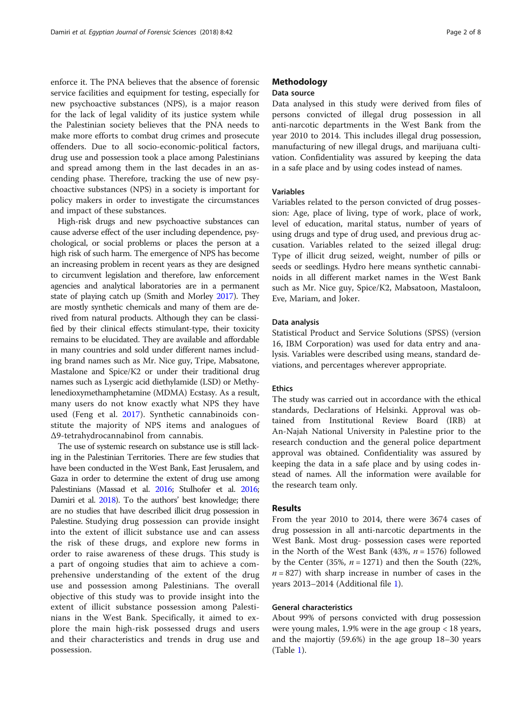enforce it. The PNA believes that the absence of forensic service facilities and equipment for testing, especially for new psychoactive substances (NPS), is a major reason for the lack of legal validity of its justice system while the Palestinian society believes that the PNA needs to make more efforts to combat drug crimes and prosecute offenders. Due to all socio-economic-political factors, drug use and possession took a place among Palestinians and spread among them in the last decades in an ascending phase. Therefore, tracking the use of new psychoactive substances (NPS) in a society is important for policy makers in order to investigate the circumstances and impact of these substances.

High-risk drugs and new psychoactive substances can cause adverse effect of the user including dependence, psychological, or social problems or places the person at a high risk of such harm. The emergence of NPS has become an increasing problem in recent years as they are designed to circumvent legislation and therefore, law enforcement agencies and analytical laboratories are in a permanent state of playing catch up (Smith and Morley [2017\)](#page-7-0). They are mostly synthetic chemicals and many of them are derived from natural products. Although they can be classified by their clinical effects stimulant-type, their toxicity remains to be elucidated. They are available and affordable in many countries and sold under different names including brand names such as Mr. Nice guy, Tripe, Mabsatone, Mastalone and Spice/K2 or under their traditional drug names such as Lysergic acid diethylamide (LSD) or Methylenedioxymethamphetamine (MDMA) Ecstasy. As a result, many users do not know exactly what NPS they have used (Feng et al. [2017](#page-7-0)). Synthetic cannabinoids constitute the majority of NPS items and analogues of Δ9-tetrahydrocannabinol from cannabis.

The use of systemic research on substance use is still lacking in the Palestinian Territories. There are few studies that have been conducted in the West Bank, East Jerusalem, and Gaza in order to determine the extent of drug use among Palestinians (Massad et al. [2016;](#page-7-0) Stulhofer et al. [2016](#page-7-0); Damiri et al. [2018](#page-7-0)). To the authors' best knowledge; there are no studies that have described illicit drug possession in Palestine. Studying drug possession can provide insight into the extent of illicit substance use and can assess the risk of these drugs, and explore new forms in order to raise awareness of these drugs. This study is a part of ongoing studies that aim to achieve a comprehensive understanding of the extent of the drug use and possession among Palestinians. The overall objective of this study was to provide insight into the extent of illicit substance possession among Palestinians in the West Bank. Specifically, it aimed to explore the main high-risk possessed drugs and users and their characteristics and trends in drug use and possession.

## Methodology

## Data source

Data analysed in this study were derived from files of persons convicted of illegal drug possession in all anti-narcotic departments in the West Bank from the year 2010 to 2014. This includes illegal drug possession, manufacturing of new illegal drugs, and marijuana cultivation. Confidentiality was assured by keeping the data in a safe place and by using codes instead of names.

#### Variables

Variables related to the person convicted of drug possession: Age, place of living, type of work, place of work, level of education, marital status, number of years of using drugs and type of drug used, and previous drug accusation. Variables related to the seized illegal drug: Type of illicit drug seized, weight, number of pills or seeds or seedlings. Hydro here means synthetic cannabinoids in all different market names in the West Bank such as Mr. Nice guy, Spice/K2, Mabsatoon, Mastaloon, Eve, Mariam, and Joker.

## Data analysis

Statistical Product and Service Solutions (SPSS) (version 16, IBM Corporation) was used for data entry and analysis. Variables were described using means, standard deviations, and percentages wherever appropriate.

## Ethics

The study was carried out in accordance with the ethical standards, Declarations of Helsinki. Approval was obtained from Institutional Review Board (IRB) at An-Najah National University in Palestine prior to the research conduction and the general police department approval was obtained. Confidentiality was assured by keeping the data in a safe place and by using codes instead of names. All the information were available for the research team only.

#### Results

From the year 2010 to 2014, there were 3674 cases of drug possession in all anti-narcotic departments in the West Bank. Most drug- possession cases were reported in the North of the West Bank (43%,  $n = 1576$ ) followed by the Center (35%,  $n = 1271$ ) and then the South (22%,  $n = 827$ ) with sharp increase in number of cases in the years 2013–2014 (Additional file [1\)](#page-6-0).

## General characteristics

About 99% of persons convicted with drug possession were young males, 1.9% were in the age group < 18 years, and the majortiy (59.6%) in the age group 18–30 years (Table [1\)](#page-2-0).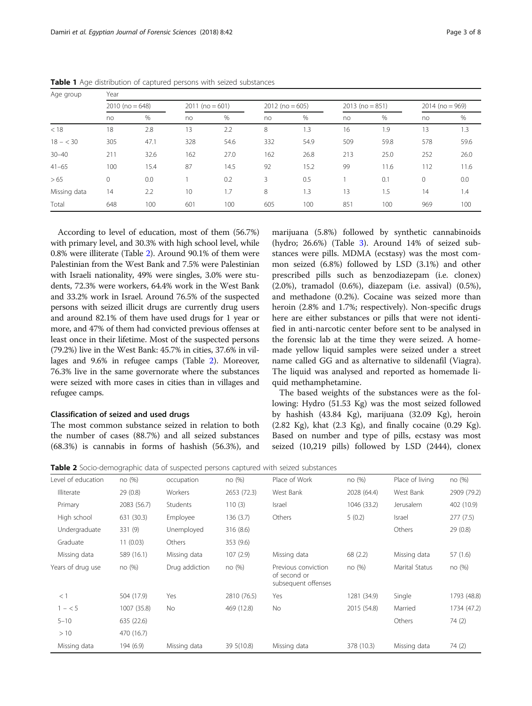| Age group    | Year              |      |                   |      |                   |      |                   |      |                   |      |
|--------------|-------------------|------|-------------------|------|-------------------|------|-------------------|------|-------------------|------|
|              | $2010$ (no = 648) |      | $2011$ (no = 601) |      | $2012$ (no = 605) |      | $2013$ (no = 851) |      | $2014$ (no = 969) |      |
|              | no                | %    | no                | %    | no                | %    | no                | %    | no                | %    |
| < 18         | 18                | 2.8  | 13                | 2.2  | 8                 | 1.3  | 16                | 1.9  | 13                | 1.3  |
| $18 - 30$    | 305               | 47.1 | 328               | 54.6 | 332               | 54.9 | 509               | 59.8 | 578               | 59.6 |
| $30 - 40$    | 211               | 32.6 | 162               | 27.0 | 162               | 26.8 | 213               | 25.0 | 252               | 26.0 |
| $41 - 65$    | 100               | 15.4 | 87                | 14.5 | 92                | 15.2 | 99                | 11.6 | 112               | 11.6 |
| >65          | $\mathbf{0}$      | 0.0  |                   | 0.2  | 3                 | 0.5  |                   | 0.1  | 0                 | 0.0  |
| Missing data | 14                | 2.2  | 10                | .7   | 8                 | 1.3  | 13                | 1.5  | 14                | 1.4  |
| Total        | 648               | 100  | 601               | 100  | 605               | 100  | 851               | 100  | 969               | 100  |

<span id="page-2-0"></span>Table 1 Age distribution of captured persons with seized substances

According to level of education, most of them (56.7%) with primary level, and 30.3% with high school level, while 0.8% were illiterate (Table 2). Around 90.1% of them were Palestinian from the West Bank and 7.5% were Palestinian with Israeli nationality, 49% were singles, 3.0% were students, 72.3% were workers, 64.4% work in the West Bank and 33.2% work in Israel. Around 76.5% of the suspected persons with seized illicit drugs are currently drug users and around 82.1% of them have used drugs for 1 year or more, and 47% of them had convicted previous offenses at least once in their lifetime. Most of the suspected persons (79.2%) live in the West Bank: 45.7% in cities, 37.6% in villages and 9.6% in refugee camps (Table 2). Moreover, 76.3% live in the same governorate where the substances were seized with more cases in cities than in villages and refugee camps.

## Classification of seized and used drugs

The most common substance seized in relation to both the number of cases (88.7%) and all seized substances (68.3%) is cannabis in forms of hashish (56.3%), and

marijuana (5.8%) followed by synthetic cannabinoids (hydro; 26.6%) (Table [3](#page-3-0)). Around 14% of seized substances were pills. MDMA (ecstasy) was the most common seized (6.8%) followed by LSD (3.1%) and other prescribed pills such as benzodiazepam (i.e. clonex) (2.0%), tramadol (0.6%), diazepam (i.e. assival) (0.5%), and methadone (0.2%). Cocaine was seized more than heroin (2.8% and 1.7%; respectively). Non-specific drugs here are either substances or pills that were not identified in anti-narcotic center before sent to be analysed in the forensic lab at the time they were seized. A homemade yellow liquid samples were seized under a street name called GG and as alternative to sildenafil (Viagra). The liquid was analysed and reported as homemade liquid methamphetamine.

The based weights of the substances were as the following: Hydro (51.53 Kg) was the most seized followed by hashish (43.84 Kg), marijuana (32.09 Kg), heroin  $(2.82 \text{ Kg})$ , khat  $(2.3 \text{ Kg})$ , and finally cocaine  $(0.29 \text{ Kg})$ . Based on number and type of pills, ecstasy was most seized (10,219 pills) followed by LSD (2444), clonex

Table 2 Socio-demographic data of suspected persons captured with seized substances

| Level of education | no (%)      | occupation     | no (%)      | Place of Work                                              | no (%)      | Place of living       | no (%)      |
|--------------------|-------------|----------------|-------------|------------------------------------------------------------|-------------|-----------------------|-------------|
| <b>Illiterate</b>  | 29 (0.8)    | Workers        | 2653 (72.3) | West Bank                                                  | 2028 (64.4) | West Bank             | 2909 (79.2) |
| Primary            | 2083 (56.7) | Students       | 110(3)      | Israel                                                     | 1046 (33.2) | Jerusalem             | 402 (10.9)  |
| High school        | 631 (30.3)  | Employee       | 136 (3.7)   | Others                                                     | 5(0.2)      | Israel                | 277(7.5)    |
| Undergraduate      | 331 (9)     | Unemployed     | 316 (8.6)   |                                                            |             | Others                | 29(0.8)     |
| Graduate           | 11(0.03)    | Others         | 353 (9.6)   |                                                            |             |                       |             |
| Missing data       | 589 (16.1)  | Missing data   | 107(2.9)    | Missing data                                               | 68 (2.2)    | Missing data          | 57 (1.6)    |
| Years of drug use  | no (%)      | Drug addiction | no (%)      | Previous conviction<br>of second or<br>subsequent offenses | no (%)      | <b>Marital Status</b> | no (%)      |
| $<$ 1              | 504 (17.9)  | Yes            | 2810 (76.5) | Yes                                                        | 1281 (34.9) | Single                | 1793 (48.8) |
| $1 - 5$            | 1007 (35.8) | No             | 469 (12.8)  | No.                                                        | 2015 (54.8) | Married               | 1734 (47.2) |
| $5 - 10$           | 635 (22.6)  |                |             |                                                            |             | Others                | 74(2)       |
| >10                | 470 (16.7)  |                |             |                                                            |             |                       |             |
| Missing data       | 194 (6.9)   | Missing data   | 39 5 (10.8) | Missing data                                               | 378 (10.3)  | Missing data          | 74 (2)      |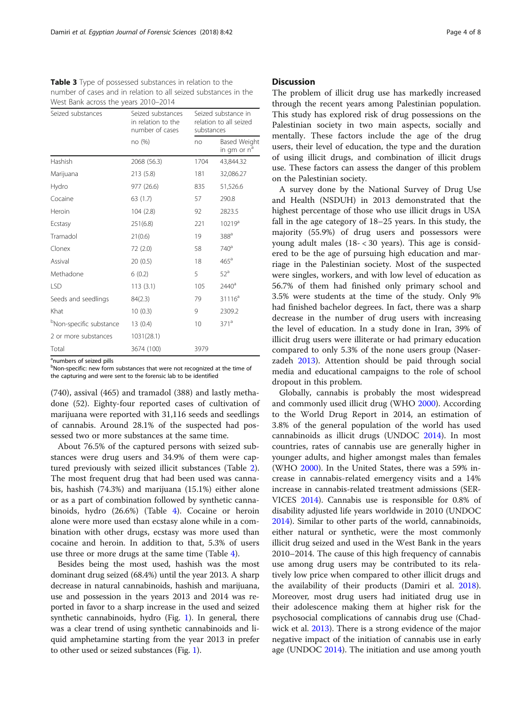<span id="page-3-0"></span>

| <b>Table 3</b> Type of possessed substances in relation to the  |
|-----------------------------------------------------------------|
| number of cases and in relation to all seized substances in the |
| West Bank across the years 2010-2014                            |

| Seized substances                   | Seized substances<br>in relation to the<br>number of cases |      | Seized substance in<br>relation to all seized<br>substances |  |  |
|-------------------------------------|------------------------------------------------------------|------|-------------------------------------------------------------|--|--|
|                                     | no (%)                                                     | no   | Based Weight<br>in gm or n <sup>a</sup>                     |  |  |
| Hashish                             | 2068 (56.3)                                                | 1704 | 43,844.32                                                   |  |  |
| Marijuana                           | 213 (5.8)                                                  | 181  | 32,086.27                                                   |  |  |
| Hydro                               | 977 (26.6)                                                 | 835  | 51,526.6                                                    |  |  |
| Cocaine                             | 63(1.7)                                                    | 57   | 290.8                                                       |  |  |
| Heroin                              | 104(2.8)                                                   | 92   | 2823.5                                                      |  |  |
| Ecstasy                             | 251(6.8)                                                   | 221  | $10219^a$                                                   |  |  |
| Tramadol                            | 21(0.6)                                                    | 19   | 388 <sup>a</sup>                                            |  |  |
| Clonex                              | 72 (2.0)                                                   | 58   | 740 <sup>a</sup>                                            |  |  |
| Assival                             | 20(0.5)                                                    | 18   | $465^{\circ}$                                               |  |  |
| Methadone                           | 6(0.2)                                                     | 5    | 52 <sup>a</sup>                                             |  |  |
| LSD                                 | 113(3.1)                                                   | 105  | 2440 <sup>a</sup>                                           |  |  |
| Seeds and seedlings                 | 84(2.3)                                                    | 79   | $31116^a$                                                   |  |  |
| Khat                                | 10(0.3)                                                    | 9    | 2309.2                                                      |  |  |
| <sup>b</sup> Non-specific substance | 13(0.4)                                                    | 10   | 371 <sup>a</sup>                                            |  |  |
| 2 or more substances                | 1031(28.1)                                                 |      |                                                             |  |  |
| Total                               | 3674 (100)                                                 | 3979 |                                                             |  |  |

<sup>a</sup>numbers of seized pills

<sup>b</sup>Non-specific: new form substances that were not recognized at the time of the capturing and were sent to the forensic lab to be identified

(740), assival (465) and tramadol (388) and lastly methadone (52). Eighty-four reported cases of cultivation of marijuana were reported with 31,116 seeds and seedlings of cannabis. Around 28.1% of the suspected had possessed two or more substances at the same time.

About 76.5% of the captured persons with seized substances were drug users and 34.9% of them were captured previously with seized illicit substances (Table [2](#page-2-0)). The most frequent drug that had been used was cannabis, hashish (74.3%) and marijuana (15.1%) either alone or as a part of combination followed by synthetic cannabinoids, hydro (26.6%) (Table [4](#page-4-0)). Cocaine or heroin alone were more used than ecstasy alone while in a combination with other drugs, ecstasy was more used than cocaine and heroin. In addition to that, 5.3% of users use three or more drugs at the same time (Table [4](#page-4-0)).

Besides being the most used, hashish was the most dominant drug seized (68.4%) until the year 2013. A sharp decrease in natural cannabinoids, hashish and marijuana, use and possession in the years 2013 and 2014 was reported in favor to a sharp increase in the used and seized synthetic cannabinoids, hydro (Fig. [1](#page-4-0)). In general, there was a clear trend of using synthetic cannabinoids and liquid amphetamine starting from the year 2013 in prefer to other used or seized substances (Fig. [1](#page-4-0)).

#### **Discussion**

The problem of illicit drug use has markedly increased through the recent years among Palestinian population. This study has explored risk of drug possessions on the Palestinian society in two main aspects, socially and mentally. These factors include the age of the drug users, their level of education, the type and the duration of using illicit drugs, and combination of illicit drugs use. These factors can assess the danger of this problem on the Palestinian society.

A survey done by the National Survey of Drug Use and Health (NSDUH) in 2013 demonstrated that the highest percentage of those who use illicit drugs in USA fall in the age category of 18–25 years. In this study, the majority (55.9%) of drug users and possessors were young adult males (18- < 30 years). This age is considered to be the age of pursuing high education and marriage in the Palestinian society. Most of the suspected were singles, workers, and with low level of education as 56.7% of them had finished only primary school and 3.5% were students at the time of the study. Only 9% had finished bachelor degrees. In fact, there was a sharp decrease in the number of drug users with increasing the level of education. In a study done in Iran, 39% of illicit drug users were illiterate or had primary education compared to only 5.3% of the none users group (Naserzadeh [2013](#page-7-0)). Attention should be paid through social media and educational campaigns to the role of school dropout in this problem.

Globally, cannabis is probably the most widespread and commonly used illicit drug (WHO [2000\)](#page-7-0). According to the World Drug Report in 2014, an estimation of 3.8% of the general population of the world has used cannabinoids as illicit drugs (UNDOC [2014](#page-7-0)). In most countries, rates of cannabis use are generally higher in younger adults, and higher amongst males than females (WHO [2000](#page-7-0)). In the United States, there was a 59% increase in cannabis-related emergency visits and a 14% increase in cannabis-related treatment admissions (SER-VICES [2014\)](#page-7-0). Cannabis use is responsible for 0.8% of disability adjusted life years worldwide in 2010 (UNDOC [2014](#page-7-0)). Similar to other parts of the world, cannabinoids, either natural or synthetic, were the most commonly illicit drug seized and used in the West Bank in the years 2010–2014. The cause of this high frequency of cannabis use among drug users may be contributed to its relatively low price when compared to other illicit drugs and the availability of their products (Damiri et al. [2018](#page-7-0)). Moreover, most drug users had initiated drug use in their adolescence making them at higher risk for the psychosocial complications of cannabis drug use (Chadwick et al. [2013\)](#page-6-0). There is a strong evidence of the major negative impact of the initiation of cannabis use in early age (UNDOC [2014\)](#page-7-0). The initiation and use among youth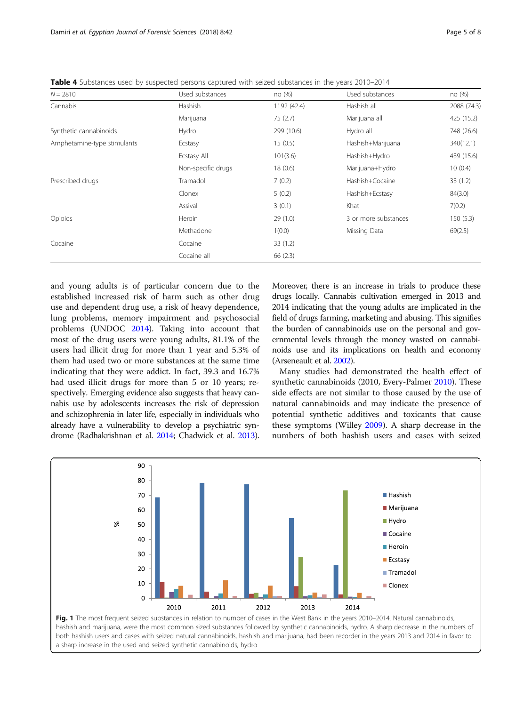<span id="page-4-0"></span>Table 4 Substances used by suspected persons captured with seized substances in the years 2010–2014

| $N = 2810$                  | Used substances    | no(%)       | Used substances      | no (%)      |
|-----------------------------|--------------------|-------------|----------------------|-------------|
| Cannabis                    | Hashish            | 1192 (42.4) | Hashish all          | 2088 (74.3) |
|                             | Marijuana          | 75(2.7)     | Marijuana all        | 425 (15.2)  |
| Synthetic cannabinoids      | Hydro              | 299 (10.6)  | Hydro all            | 748 (26.6)  |
| Amphetamine-type stimulants | Ecstasy            | 15(0.5)     | Hashish+Marijuana    | 340(12.1)   |
|                             | Ecstasy All        | 101(3.6)    | Hashish+Hydro        | 439 (15.6)  |
|                             | Non-specific drugs | 18(0.6)     | Marijuana+Hydro      | 10(0.4)     |
| Prescribed drugs            | Tramadol           | 7(0.2)      | Hashish+Cocaine      | 33(1.2)     |
|                             | Clonex             | 5(0.2)      | Hashish+Ecstasy      | 84(3.0)     |
|                             | Assival            | 3(0.1)      | Khat                 | 7(0.2)      |
| Opioids                     | Heroin             | 29(1.0)     | 3 or more substances | 150(5.3)    |
|                             | Methadone          | 1(0.0)      | Missing Data         | 69(2.5)     |
| Cocaine                     | Cocaine            | 33(1.2)     |                      |             |
|                             | Cocaine all        | 66(2.3)     |                      |             |

and young adults is of particular concern due to the established increased risk of harm such as other drug use and dependent drug use, a risk of heavy dependence, lung problems, memory impairment and psychosocial problems (UNDOC [2014\)](#page-7-0). Taking into account that most of the drug users were young adults, 81.1% of the users had illicit drug for more than 1 year and 5.3% of them had used two or more substances at the same time indicating that they were addict. In fact, 39.3 and 16.7% had used illicit drugs for more than 5 or 10 years; respectively. Emerging evidence also suggests that heavy cannabis use by adolescents increases the risk of depression and schizophrenia in later life, especially in individuals who already have a vulnerability to develop a psychiatric syndrome (Radhakrishnan et al. [2014](#page-7-0); Chadwick et al. [2013](#page-6-0)).

Moreover, there is an increase in trials to produce these drugs locally. Cannabis cultivation emerged in 2013 and 2014 indicating that the young adults are implicated in the field of drugs farming, marketing and abusing. This signifies the burden of cannabinoids use on the personal and governmental levels through the money wasted on cannabinoids use and its implications on health and economy (Arseneault et al. [2002](#page-6-0)).

Many studies had demonstrated the health effect of synthetic cannabinoids (2010, Every-Palmer [2010\)](#page-7-0). These side effects are not similar to those caused by the use of natural cannabinoids and may indicate the presence of potential synthetic additives and toxicants that cause these symptoms (Willey [2009\)](#page-7-0). A sharp decrease in the numbers of both hashish users and cases with seized

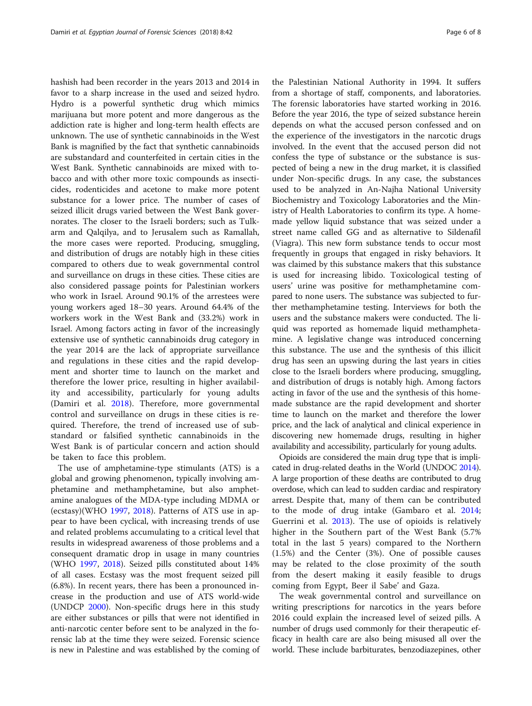hashish had been recorder in the years 2013 and 2014 in favor to a sharp increase in the used and seized hydro. Hydro is a powerful synthetic drug which mimics marijuana but more potent and more dangerous as the addiction rate is higher and long-term health effects are unknown. The use of synthetic cannabinoids in the West Bank is magnified by the fact that synthetic cannabinoids are substandard and counterfeited in certain cities in the West Bank. Synthetic cannabinoids are mixed with tobacco and with other more toxic compounds as insecticides, rodenticides and acetone to make more potent substance for a lower price. The number of cases of seized illicit drugs varied between the West Bank governorates. The closer to the Israeli borders; such as Tulkarm and Qalqilya, and to Jerusalem such as Ramallah, the more cases were reported. Producing, smuggling, and distribution of drugs are notably high in these cities compared to others due to weak governmental control and surveillance on drugs in these cities. These cities are also considered passage points for Palestinian workers who work in Israel. Around 90.1% of the arrestees were young workers aged 18–30 years. Around 64.4% of the workers work in the West Bank and (33.2%) work in Israel. Among factors acting in favor of the increasingly extensive use of synthetic cannabinoids drug category in the year 2014 are the lack of appropriate surveillance and regulations in these cities and the rapid development and shorter time to launch on the market and therefore the lower price, resulting in higher availability and accessibility, particularly for young adults (Damiri et al. [2018\)](#page-7-0). Therefore, more governmental control and surveillance on drugs in these cities is required. Therefore, the trend of increased use of substandard or falsified synthetic cannabinoids in the West Bank is of particular concern and action should be taken to face this problem.

The use of amphetamine-type stimulants (ATS) is a global and growing phenomenon, typically involving amphetamine and methamphetamine, but also amphetamine analogues of the MDA-type including MDMA or (ecstasy)(WHO [1997](#page-7-0), [2018\)](#page-7-0). Patterns of ATS use in appear to have been cyclical, with increasing trends of use and related problems accumulating to a critical level that results in widespread awareness of those problems and a consequent dramatic drop in usage in many countries (WHO [1997](#page-7-0), [2018](#page-7-0)). Seized pills constituted about 14% of all cases. Ecstasy was the most frequent seized pill (6.8%). In recent years, there has been a pronounced increase in the production and use of ATS world-wide (UNDCP [2000\)](#page-7-0). Non-specific drugs here in this study are either substances or pills that were not identified in anti-narcotic center before sent to be analyzed in the forensic lab at the time they were seized. Forensic science is new in Palestine and was established by the coming of

the Palestinian National Authority in 1994. It suffers from a shortage of staff, components, and laboratories. The forensic laboratories have started working in 2016. Before the year 2016, the type of seized substance herein depends on what the accused person confessed and on the experience of the investigators in the narcotic drugs involved. In the event that the accused person did not confess the type of substance or the substance is suspected of being a new in the drug market, it is classified under Non-specific drugs. In any case, the substances used to be analyzed in An-Najha National University Biochemistry and Toxicology Laboratories and the Ministry of Health Laboratories to confirm its type. A homemade yellow liquid substance that was seized under a street name called GG and as alternative to Sildenafil (Viagra). This new form substance tends to occur most frequently in groups that engaged in risky behaviors. It was claimed by this substance makers that this substance is used for increasing libido. Toxicological testing of users' urine was positive for methamphetamine compared to none users. The substance was subjected to further methamphetamine testing. Interviews for both the users and the substance makers were conducted. The liquid was reported as homemade liquid methamphetamine. A legislative change was introduced concerning this substance. The use and the synthesis of this illicit drug has seen an upswing during the last years in cities close to the Israeli borders where producing, smuggling, and distribution of drugs is notably high. Among factors acting in favor of the use and the synthesis of this homemade substance are the rapid development and shorter time to launch on the market and therefore the lower price, and the lack of analytical and clinical experience in discovering new homemade drugs, resulting in higher availability and accessibility, particularly for young adults.

Opioids are considered the main drug type that is implicated in drug-related deaths in the World (UNDOC [2014](#page-7-0)). A large proportion of these deaths are contributed to drug overdose, which can lead to sudden cardiac and respiratory arrest. Despite that, many of them can be contributed to the mode of drug intake (Gambaro et al. [2014](#page-7-0); Guerrini et al. [2013\)](#page-7-0). The use of opioids is relatively higher in the Southern part of the West Bank (5.7% total in the last 5 years) compared to the Northern (1.5%) and the Center (3%). One of possible causes may be related to the close proximity of the south from the desert making it easily feasible to drugs coming from Egypt, Beer il Sabe' and Gaza.

The weak governmental control and surveillance on writing prescriptions for narcotics in the years before 2016 could explain the increased level of seized pills. A number of drugs used commonly for their therapeutic efficacy in health care are also being misused all over the world. These include barbiturates, benzodiazepines, other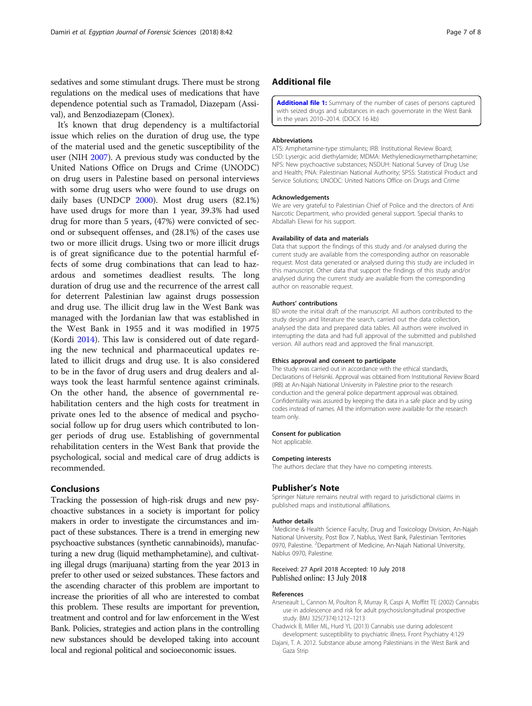<span id="page-6-0"></span>sedatives and some stimulant drugs. There must be strong regulations on the medical uses of medications that have dependence potential such as Tramadol, Diazepam (Assival), and Benzodiazepam (Clonex).

It's known that drug dependency is a multifactorial issue which relies on the duration of drug use, the type of the material used and the genetic susceptibility of the user (NIH [2007\)](#page-7-0). A previous study was conducted by the United Nations Office on Drugs and Crime (UNODC) on drug users in Palestine based on personal interviews with some drug users who were found to use drugs on daily bases (UNDCP [2000](#page-7-0)). Most drug users (82.1%) have used drugs for more than 1 year, 39.3% had used drug for more than 5 years, (47%) were convicted of second or subsequent offenses, and (28.1%) of the cases use two or more illicit drugs. Using two or more illicit drugs is of great significance due to the potential harmful effects of some drug combinations that can lead to hazardous and sometimes deadliest results. The long duration of drug use and the recurrence of the arrest call for deterrent Palestinian law against drugs possession and drug use. The illicit drug law in the West Bank was managed with the Jordanian law that was established in the West Bank in 1955 and it was modified in 1975 (Kordi [2014](#page-7-0)). This law is considered out of date regarding the new technical and pharmaceutical updates related to illicit drugs and drug use. It is also considered to be in the favor of drug users and drug dealers and always took the least harmful sentence against criminals. On the other hand, the absence of governmental rehabilitation centers and the high costs for treatment in private ones led to the absence of medical and psychosocial follow up for drug users which contributed to longer periods of drug use. Establishing of governmental rehabilitation centers in the West Bank that provide the psychological, social and medical care of drug addicts is recommended.

## Conclusions

Tracking the possession of high-risk drugs and new psychoactive substances in a society is important for policy makers in order to investigate the circumstances and impact of these substances. There is a trend in emerging new psychoactive substances (synthetic cannabinoids), manufacturing a new drug (liquid methamphetamine), and cultivating illegal drugs (marijuana) starting from the year 2013 in prefer to other used or seized substances. These factors and the ascending character of this problem are important to increase the priorities of all who are interested to combat this problem. These results are important for prevention, treatment and control and for law enforcement in the West Bank. Policies, strategies and action plans in the controlling new substances should be developed taking into account local and regional political and socioeconomic issues.

## Additional file

[Additional file 1:](https://doi.org/10.1186/s41935-018-0074-6) Summary of the number of cases of persons captured with seized drugs and substances in each governorate in the West Bank in the years 2010–2014. (DOCX 16 kb)

#### Abbreviations

ATS: Amphetamine-type stimulants; IRB: Institutional Review Board; LSD: Lysergic acid diethylamide; MDMA: Methylenedioxymethamphetamine; NPS: New psychoactive substances; NSDUH: National Survey of Drug Use and Health; PNA: Palestinian National Authority; SPSS: Statistical Product and Service Solutions; UNODC: United Nations Office on Drugs and Crime

#### Acknowledgements

We are very grateful to Palestinian Chief of Police and the directors of Anti Narcotic Department, who provided general support. Special thanks to Abdallah Eliewi for his support.

#### Availability of data and materials

Data that support the findings of this study and /or analysed during the current study are available from the corresponding author on reasonable request. Most data generated or analysed during this study are included in this manuscript. Other data that support the findings of this study and/or analysed during the current study are available from the corresponding author on reasonable request.

#### Authors' contributions

BD wrote the initial draft of the manuscript. All authors contributed to the study design and literature the search, carried out the data collection, analysed the data and prepared data tables. All authors were involved in interrupting the data and had full approval of the submitted and published version. All authors read and approved the final manuscript.

#### Ethics approval and consent to participate

The study was carried out in accordance with the ethical standards, Declarations of Helsinki. Approval was obtained from Institutional Review Board (IRB) at An-Najah National University in Palestine prior to the research conduction and the general police department approval was obtained. Confidentiality was assured by keeping the data in a safe place and by using codes instead of names. All the information were available for the research team only.

#### Consent for publication

Not applicable.

#### Competing interests

The authors declare that they have no competing interests.

#### Publisher's Note

Springer Nature remains neutral with regard to jurisdictional claims in published maps and institutional affiliations.

#### Author details

<sup>1</sup>Medicine & Health Science Faculty, Drug and Toxicology Division, An-Najah National University, Post Box 7, Nablus, West Bank, Palestinian Territories 0970, Palestine. <sup>2</sup>Department of Medicine, An-Najah National University, Nablus 0970, Palestine.

#### Received: 27 April 2018 Accepted: 10 July 2018 Published online: 13 July 2018

#### References

- Arseneault L, Cannon M, Poulton R, Murray R, Caspi A, Moffitt TE (2002) Cannabis use in adolescence and risk for adult psychosis:longitudinal prospective study. BMJ 325(7374):1212–1213
- Chadwick B, Miller ML, Hurd YL (2013) Cannabis use during adolescent development: susceptibility to psychiatric illness. Front Psychiatry 4:129
- Dajani, T. A. 2012. Substance abuse among Palestinians in the West Bank and Gaza Strip